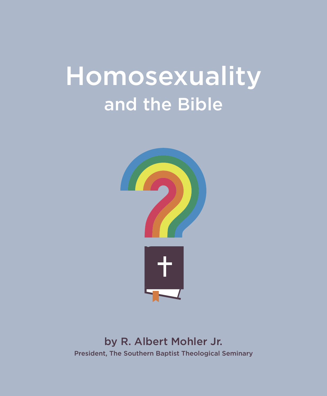# Homosexuality and the Bible



by R. Albert Mohler Jr. President, The Southern Baptist Theological Seminary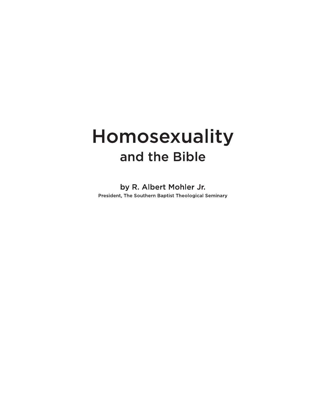## Homosexuality and the Bible

by R. Albert Mohler Jr. President, The Southern Baptist Theological Seminary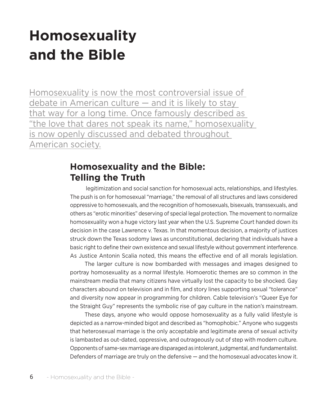### **Homosexuality and the Bible**

Homosexuality is now the most controversial issue of debate in American culture — and it is likely to stay that way for a long time. Once famously described as "the love that dares not speak its name," homosexuality is now openly discussed and debated throughout American society.

#### **Homosexuality and the Bible: Telling the Truth**

legitimization and social sanction for homosexual acts, relationships, and lifestyles. The push is on for homosexual "marriage," the removal of all structures and laws considered oppressive to homosexuals, and the recognition of homosexuals, bisexuals, transsexuals, and others as "erotic minorities" deserving of special legal protection. The movement to normalize homosexuality won a huge victory last year when the U.S. Supreme Court handed down its decision in the case Lawrence v. Texas. In that momentous decision, a majority of justices struck down the Texas sodomy laws as unconstitutional, declaring that individuals have a basic right to define their own existence and sexual lifestyle without government interference. As Justice Antonin Scalia noted, this means the effective end of all morals legislation.

The larger culture is now bombarded with messages and images designed to portray homosexuality as a normal lifestyle. Homoerotic themes are so common in the mainstream media that many citizens have virtually lost the capacity to be shocked. Gay characters abound on television and in film, and story lines supporting sexual "tolerance" and diversity now appear in programming for children. Cable television's "Queer Eye for the Straight Guy" represents the symbolic rise of gay culture in the nation's mainstream.

These days, anyone who would oppose homosexuality as a fully valid lifestyle is depicted as a narrow-minded bigot and described as "homophobic." Anyone who suggests that heterosexual marriage is the only acceptable and legitimate arena of sexual activity is lambasted as out-dated, oppressive, and outrageously out of step with modern culture. Opponents of same-sex marriage are disparaged as intolerant, judgmental, and fundamentalist. Defenders of marriage are truly on the defensive — and the homosexual advocates know it.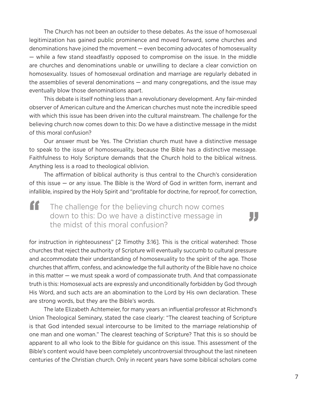The Church has not been an outsider to these debates. As the issue of homosexual legitimization has gained public prominence and moved forward, some churches and denominations have joined the movement — even becoming advocates of homosexuality — while a few stand steadfastly opposed to compromise on the issue. In the middle are churches and denominations unable or unwilling to declare a clear conviction on homosexuality. Issues of homosexual ordination and marriage are regularly debated in the assemblies of several denominations — and many congregations, and the issue may eventually blow those denominations apart.

This debate is itself nothing less than a revolutionary development. Any fair-minded observer of American culture and the American churches must note the incredible speed with which this issue has been driven into the cultural mainstream. The challenge for the believing church now comes down to this: Do we have a distinctive message in the midst of this moral confusion?

Our answer must be Yes. The Christian church must have a distinctive message to speak to the issue of homosexuality, because the Bible has a distinctive message. Faithfulness to Holy Scripture demands that the Church hold to the biblical witness. Anything less is a road to theological oblivion.

The affirmation of biblical authority is thus central to the Church's consideration of this issue — or any issue. The Bible is the Word of God in written form, inerrant and infallible, inspired by the Holy Spirit and "profitable for doctrine, for reproof, for correction,

The challenge for the believing church now comes down to this: Do we have a distinctive message in " the midst of this moral confusion?

, ,

for instruction in righteousness" [2 Timothy 3:16]. This is the critical watershed: Those churches that reject the authority of Scripture will eventually succumb to cultural pressure and accommodate their understanding of homosexuality to the spirit of the age. Those churches that affirm, confess, and acknowledge the full authority of the Bible have no choice in this matter — we must speak a word of compassionate truth. And that compassionate truth is this: Homosexual acts are expressly and unconditionally forbidden by God through His Word, and such acts are an abomination to the Lord by His own declaration. These are strong words, but they are the Bible's words.

The late Elizabeth Achtemeier, for many years an influential professor at Richmond's Union Theological Seminary, stated the case clearly: "The clearest teaching of Scripture is that God intended sexual intercourse to be limited to the marriage relationship of one man and one woman." The clearest teaching of Scripture? That this is so should be apparent to all who look to the Bible for guidance on this issue. This assessment of the Bible's content would have been completely uncontroversial throughout the last nineteen centuries of the Christian church. Only in recent years have some biblical scholars come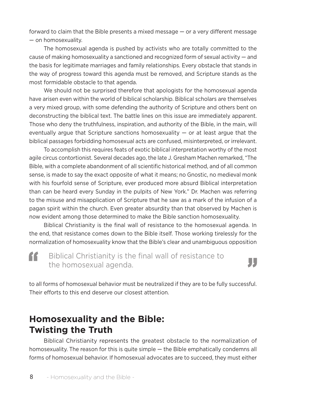forward to claim that the Bible presents a mixed message — or a very different message — on homosexuality.

The homosexual agenda is pushed by activists who are totally committed to the cause of making homosexuality a sanctioned and recognized form of sexual activity — and the basis for legitimate marriages and family relationships. Every obstacle that stands in the way of progress toward this agenda must be removed, and Scripture stands as the most formidable obstacle to that agenda.

We should not be surprised therefore that apologists for the homosexual agenda have arisen even within the world of biblical scholarship. Biblical scholars are themselves a very mixed group, with some defending the authority of Scripture and others bent on deconstructing the biblical text. The battle lines on this issue are immediately apparent. Those who deny the truthfulness, inspiration, and authority of the Bible, in the main, will eventually argue that Scripture sanctions homosexuality  $-$  or at least argue that the biblical passages forbidding homosexual acts are confused, misinterpreted, or irrelevant.

To accomplish this requires feats of exotic biblical interpretation worthy of the most agile circus contortionist. Several decades ago, the late J. Gresham Machen remarked, "The Bible, with a complete abandonment of all scientific historical method, and of all common sense, is made to say the exact opposite of what it means; no Gnostic, no medieval monk with his fourfold sense of Scripture, ever produced more absurd Biblical interpretation than can be heard every Sunday in the pulpits of New York." Dr. Machen was referring to the misuse and misapplication of Scripture that he saw as a mark of the infusion of a pagan spirit within the church. Even greater absurdity than that observed by Machen is now evident among those determined to make the Bible sanction homosexuality.

Biblical Christianity is the final wall of resistance to the homosexual agenda. In the end, that resistance comes down to the Bible itself. Those working tirelessly for the normalization of homosexuality know that the Bible's clear and unambiguous opposition

Biblical Christianity is the final wall of resistance to the homosexual agenda. "

### "

to all forms of homosexual behavior must be neutralized if they are to be fully successful. Their efforts to this end deserve our closest attention.

#### **Homosexuality and the Bible: Twisting the Truth**

Biblical Christianity represents the greatest obstacle to the normalization of homosexuality. The reason for this is quite simple — the Bible emphatically condemns all forms of homosexual behavior. If homosexual advocates are to succeed, they must either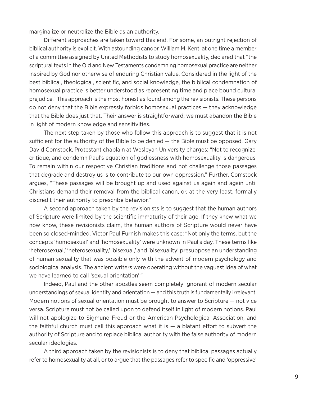marginalize or neutralize the Bible as an authority.

Different approaches are taken toward this end. For some, an outright rejection of biblical authority is explicit. With astounding candor, William M. Kent, at one time a member of a committee assigned by United Methodists to study homosexuality, declared that "the scriptural texts in the Old and New Testaments condemning homosexual practice are neither inspired by God nor otherwise of enduring Christian value. Considered in the light of the best biblical, theological, scientific, and social knowledge, the biblical condemnation of homosexual practice is better understood as representing time and place bound cultural prejudice." This approach is the most honest as found among the revisionists. These persons do not deny that the Bible expressly forbids homosexual practices — they acknowledge that the Bible does just that. Their answer is straightforward; we must abandon the Bible in light of modern knowledge and sensitivities.

The next step taken by those who follow this approach is to suggest that it is not sufficient for the authority of the Bible to be denied — the Bible must be opposed. Gary David Comstock, Protestant chaplain at Wesleyan University charges: "Not to recognize, critique, and condemn Paul's equation of godlessness with homosexuality is dangerous. To remain within our respective Christian traditions and not challenge those passages that degrade and destroy us is to contribute to our own oppression." Further, Comstock argues, "These passages will be brought up and used against us again and again until Christians demand their removal from the biblical canon, or, at the very least, formally discredit their authority to prescribe behavior."

A second approach taken by the revisionists is to suggest that the human authors of Scripture were limited by the scientific immaturity of their age. If they knew what we now know, these revisionists claim, the human authors of Scripture would never have been so closed-minded. Victor Paul Furnish makes this case: "Not only the terms, but the concepts 'homosexual' and 'homosexuality' were unknown in Paul's day. These terms like 'heterosexual,' 'heterosexuality,' 'bisexual,' and 'bisexuality' presuppose an understanding of human sexuality that was possible only with the advent of modern psychology and sociological analysis. The ancient writers were operating without the vaguest idea of what we have learned to call 'sexual orientation'."

Indeed, Paul and the other apostles seem completely ignorant of modern secular understandings of sexual identity and orientation — and this truth is fundamentally irrelevant. Modern notions of sexual orientation must be brought to answer to Scripture — not vice versa. Scripture must not be called upon to defend itself in light of modern notions. Paul will not apologize to Sigmund Freud or the American Psychological Association, and the faithful church must call this approach what it is  $-$  a blatant effort to subvert the authority of Scripture and to replace biblical authority with the false authority of modern secular ideologies.

A third approach taken by the revisionists is to deny that biblical passages actually refer to homosexuality at all, or to argue that the passages refer to specific and 'oppressive'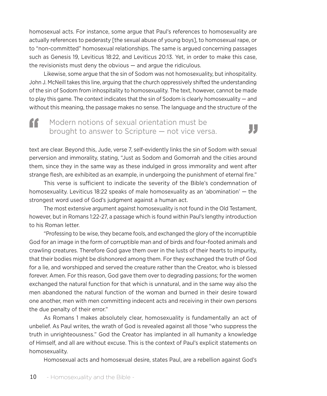homosexual acts. For instance, some argue that Paul's references to homosexuality are actually references to pederasty [the sexual abuse of young boys], to homosexual rape, or to "non-committed" homosexual relationships. The same is argued concerning passages such as Genesis 19, Leviticus 18:22, and Leviticus 20:13. Yet, in order to make this case, the revisionists must deny the obvious — and argue the ridiculous.

Likewise, some argue that the sin of Sodom was not homosexuality, but inhospitality. John J. McNeill takes this line, arguing that the church oppressively shifted the understanding of the sin of Sodom from inhospitality to homosexuality. The text, however, cannot be made to play this game. The context indicates that the sin of Sodom is clearly homosexuality — and without this meaning, the passage makes no sense. The language and the structure of the

#### Modern notions of sexual orientation must be brought to answer to Scripture — not vice versa. "



text are clear. Beyond this, Jude, verse 7, self-evidently links the sin of Sodom with sexual perversion and immorality, stating, "Just as Sodom and Gomorrah and the cities around them, since they in the same way as these indulged in gross immorality and went after strange flesh, are exhibited as an example, in undergoing the punishment of eternal fire."

This verse is sufficient to indicate the severity of the Bible's condemnation of homosexuality. Leviticus 18:22 speaks of male homosexuality as an 'abomination' — the strongest word used of God's judgment against a human act.

The most extensive argument against homosexuality is not found in the Old Testament, however, but in Romans 1:22-27, a passage which is found within Paul's lengthy introduction to his Roman letter.

"Professing to be wise, they became fools, and exchanged the glory of the incorruptible God for an image in the form of corruptible man and of birds and four-footed animals and crawling creatures. Therefore God gave them over in the lusts of their hearts to impurity, that their bodies might be dishonored among them. For they exchanged the truth of God for a lie, and worshipped and served the creature rather than the Creator, who is blessed forever. Amen. For this reason, God gave them over to degrading passions; for the women exchanged the natural function for that which is unnatural, and in the same way also the men abandoned the natural function of the woman and burned in their desire toward one another, men with men committing indecent acts and receiving in their own persons the due penalty of their error."

As Romans 1 makes absolutely clear, homosexuality is fundamentally an act of unbelief. As Paul writes, the wrath of God is revealed against all those "who suppress the truth in unrighteousness." God the Creator has implanted in all humanity a knowledge of Himself, and all are without excuse. This is the context of Paul's explicit statements on homosexuality.

Homosexual acts and homosexual desire, states Paul, are a rebellion against God's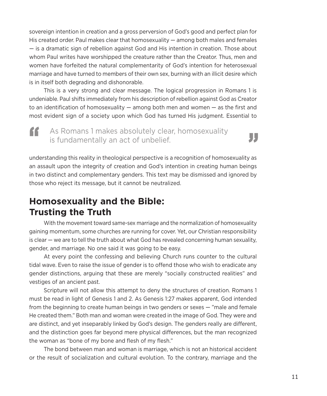sovereign intention in creation and a gross perversion of God's good and perfect plan for His created order. Paul makes clear that homosexuality — among both males and females — is a dramatic sign of rebellion against God and His intention in creation. Those about whom Paul writes have worshipped the creature rather than the Creator. Thus, men and women have forfeited the natural complementarity of God's intention for heterosexual marriage and have turned to members of their own sex, burning with an illicit desire which is in itself both degrading and dishonorable.

This is a very strong and clear message. The logical progression in Romans 1 is undeniable. Paul shifts immediately from his description of rebellion against God as Creator to an identification of homosexuality — among both men and women — as the first and most evident sign of a society upon which God has turned His judgment. Essential to

#### As Romans 1 makes absolutely clear, homosexuality is fundamentally an act of unbelief. "



understanding this reality in theological perspective is a recognition of homosexuality as an assault upon the integrity of creation and God's intention in creating human beings in two distinct and complementary genders. This text may be dismissed and ignored by those who reject its message, but it cannot be neutralized.

#### **Homosexuality and the Bible: Trusting the Truth**

With the movement toward same-sex marriage and the normalization of homosexuality gaining momentum, some churches are running for cover. Yet, our Christian responsibility is clear — we are to tell the truth about what God has revealed concerning human sexuality, gender, and marriage. No one said it was going to be easy.

At every point the confessing and believing Church runs counter to the cultural tidal wave. Even to raise the issue of gender is to offend those who wish to eradicate any gender distinctions, arguing that these are merely "socially constructed realities" and vestiges of an ancient past.

Scripture will not allow this attempt to deny the structures of creation. Romans 1 must be read in light of Genesis 1 and 2. As Genesis 1:27 makes apparent, God intended from the beginning to create human beings in two genders or sexes — "male and female He created them." Both man and woman were created in the image of God. They were and are distinct, and yet inseparably linked by God's design. The genders really are different, and the distinction goes far beyond mere physical differences, but the man recognized the woman as "bone of my bone and flesh of my flesh."

The bond between man and woman is marriage, which is not an historical accident or the result of socialization and cultural evolution. To the contrary, marriage and the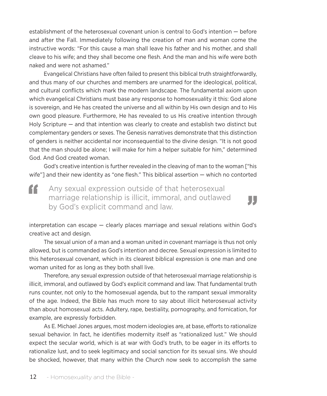establishment of the heterosexual covenant union is central to God's intention — before and after the Fall. Immediately following the creation of man and woman come the instructive words: "For this cause a man shall leave his father and his mother, and shall cleave to his wife; and they shall become one flesh. And the man and his wife were both naked and were not ashamed."

Evangelical Christians have often failed to present this biblical truth straightforwardly, and thus many of our churches and members are unarmed for the ideological, political, and cultural conflicts which mark the modern landscape. The fundamental axiom upon which evangelical Christians must base any response to homosexuality it this: God alone is sovereign, and He has created the universe and all within by His own design and to His own good pleasure. Furthermore, He has revealed to us His creative intention through Holy Scripture — and that intention was clearly to create and establish two distinct but complementary genders or sexes. The Genesis narratives demonstrate that this distinction of genders is neither accidental nor inconsequential to the divine design. "It is not good that the man should be alone; I will make for him a helper suitable for him," determined God. And God created woman.

God's creative intention is further revealed in the cleaving of man to the woman ["his wife"] and their new identity as "one flesh." This biblical assertion — which no contorted

"

Any sexual expression outside of that heterosexual marriage relationship is illicit, immoral, and outlawed " by God's explicit command and law.



The sexual union of a man and a woman united in covenant marriage is thus not only allowed, but is commanded as God's intention and decree. Sexual expression is limited to this heterosexual covenant, which in its clearest biblical expression is one man and one woman united for as long as they both shall live.

Therefore, any sexual expression outside of that heterosexual marriage relationship is illicit, immoral, and outlawed by God's explicit command and law. That fundamental truth runs counter, not only to the homosexual agenda, but to the rampant sexual immorality of the age. Indeed, the Bible has much more to say about illicit heterosexual activity than about homosexual acts. Adultery, rape, bestiality, pornography, and fornication, for example, are expressly forbidden.

As E. Michael Jones argues, most modern ideologies are, at base, efforts to rationalize sexual behavior. In fact, he identifies modernity itself as "rationalized lust." We should expect the secular world, which is at war with God's truth, to be eager in its efforts to rationalize lust, and to seek legitimacy and social sanction for its sexual sins. We should be shocked, however, that many within the Church now seek to accomplish the same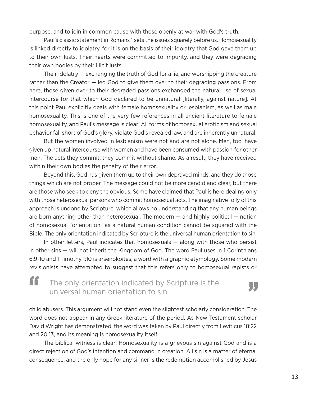purpose, and to join in common cause with those openly at war with God's truth.

Paul's classic statement in Romans 1 sets the issues squarely before us. Homosexuality is linked directly to idolatry, for it is on the basis of their idolatry that God gave them up to their own lusts. Their hearts were committed to impurity, and they were degrading their own bodies by their illicit lusts.

Their idolatry — exchanging the truth of God for a lie, and worshipping the creature rather than the Creator — led God to give them over to their degrading passions. From here, those given over to their degraded passions exchanged the natural use of sexual intercourse for that which God declared to be unnatural [literally, against nature]. At this point Paul explicitly deals with female homosexuality or lesbianism, as well as male homosexuality. This is one of the very few references in all ancient literature to female homosexuality, and Paul's message is clear: All forms of homosexual eroticism and sexual behavior fall short of God's glory, violate God's revealed law, and are inherently unnatural.

But the women involved in lesbianism were not and are not alone. Men, too, have given up natural intercourse with women and have been consumed with passion for other men. The acts they commit, they commit without shame. As a result, they have received within their own bodies the penalty of their error.

Beyond this, God has given them up to their own depraved minds, and they do those things which are not proper. The message could not be more candid and clear, but there are those who seek to deny the obvious. Some have claimed that Paul is here dealing only with those heterosexual persons who commit homosexual acts. The imaginative folly of this approach is undone by Scripture, which allows no understanding that any human beings are born anything other than heterosexual. The modern — and highly political — notion of homosexual "orientation" as a natural human condition cannot be squared with the Bible. The only orientation indicated by Scripture is the universal human orientation to sin.

In other letters, Paul indicates that homosexuals — along with those who persist in other sins — will not inherit the Kingdom of God. The word Paul uses in 1 Corinthians 6:9-10 and 1 Timothy 1:10 is arsenokoites, a word with a graphic etymology. Some modern revisionists have attempted to suggest that this refers only to homosexual rapists or

#### The only orientation indicated by Scripture is the universal human orientation to sin. "

child abusers. This argument will not stand even the slightest scholarly consideration. The word does not appear in any Greek literature of the period. As New Testament scholar David Wright has demonstrated, the word was taken by Paul directly from Leviticus 18:22 and 20:13, and its meaning is homosexuality itself.

The biblical witness is clear: Homosexuality is a grievous sin against God and is a direct rejection of God's intention and command in creation. All sin is a matter of eternal consequence, and the only hope for any sinner is the redemption accomplished by Jesus

Л.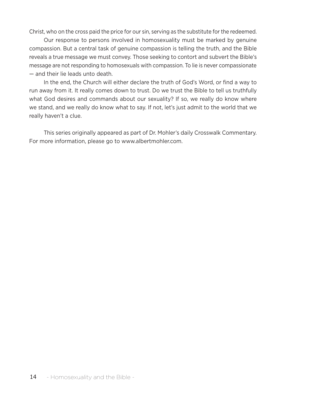Christ, who on the cross paid the price for our sin, serving as the substitute for the redeemed.

Our response to persons involved in homosexuality must be marked by genuine compassion. But a central task of genuine compassion is telling the truth, and the Bible reveals a true message we must convey. Those seeking to contort and subvert the Bible's message are not responding to homosexuals with compassion. To lie is never compassionate — and their lie leads unto death.

In the end, the Church will either declare the truth of God's Word, or find a way to run away from it. It really comes down to trust. Do we trust the Bible to tell us truthfully what God desires and commands about our sexuality? If so, we really do know where we stand, and we really do know what to say. If not, let's just admit to the world that we really haven't a clue.

This series originally appeared as part of Dr. Mohler's daily Crosswalk Commentary. For more information, please go to www.albertmohler.com.